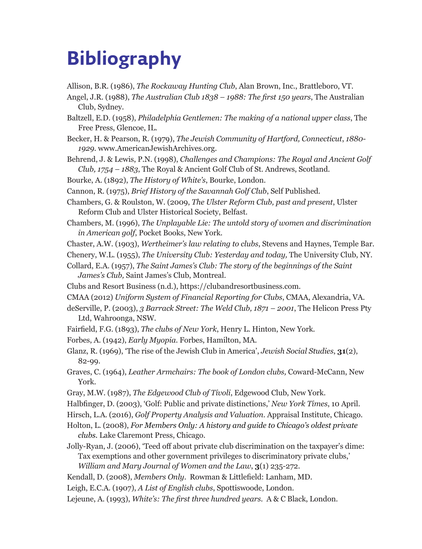## **Bibliography**

- Allison, B.R. (1986), *The Rockaway Hunting Club*, Alan Brown, Inc., Brattleboro, VT.
- Angel, J.R. (1988), *The Australian Club 1838 1988: The first 150 years*, The Australian Club, Sydney.
- Baltzell, E.D. (1958), *Philadelphia Gentlemen: The making of a national upper class*, The Free Press, Glencoe, IL.
- Becker, H. & Pearson, R. (1979), *The Jewish Community of Hartford, Connecticut*, *1880- 1929*. www.AmericanJewishArchives.org.
- Behrend, J. & Lewis, P.N. (1998), *Challenges and Champions: The Royal and Ancient Golf Club, 1754 – 1883*, The Royal & Ancient Golf Club of St. Andrews, Scotland.
- Bourke, A. (1892), *The History of White's*, Bourke, London.

Cannon, R. (1975), *Brief History of the Savannah Golf Club*, Self Published.

Chambers, G. & Roulston, W. (2009, *The Ulster Reform Club, past and present*, Ulster Reform Club and Ulster Historical Society, Belfast.

- Chambers, M. (1996), *The Unplayable Lie: The untold story of women and discrimination in American golf*, Pocket Books, New York.
- Chaster, A.W. (1903), *Wertheimer's law relating to clubs*, Stevens and Haynes, Temple Bar.
- Chenery, W.L. (1955), *The University Club: Yesterday and today,* The University Club, NY.
- Collard, E.A. (1957), *The Saint James's Club: The story of the beginnings of the Saint James's Club,* Saint James's Club, Montreal.
- Clubs and Resort Business (n.d.), <https://clubandresortbusiness.com>.
- CMAA (2012) *Uniform System of Financial Reporting for Clubs*, CMAA, Alexandria, VA.

deServille, P. (2003), *3 Barrack Street: The Weld Club, 1871 – 2001*, The Helicon Press Pty Ltd, Wahroonga, NSW.

- Fairfield, F.G. (1893), *The clubs of New York*, Henry L. Hinton, New York.
- Forbes, A. (1942), *Early Myopia*. Forbes, Hamilton, MA.
- Glanz, R. (1969), 'The rise of the Jewish Club in America', *Jewish Social Studies*, **31**(2), 82-99.
- Graves, C. (1964), *Leather Armchairs: The book of London clubs,* Coward-McCann, New York.
- Gray, M.W. (1987), *The Edgewood Club of Tivoli*, Edgewood Club, New York.
- Halbfinger, D. (2003), 'Golf: Public and private distinctions,' *New York Times*, 10 April.
- Hirsch, L.A. (2016), *Golf Property Analysis and Valuation*. Appraisal Institute, Chicago.

Holton, L. (2008), *For Members Only: A history and guide to Chicago's oldest private clubs.* Lake Claremont Press, Chicago.

Jolly-Ryan, J. (2006), 'Teed off about private club discrimination on the taxpayer's dime: Tax exemptions and other government privileges to discriminatory private clubs,' *William and Mary Journal of Women and the Law*, **3**(1) 235-272.

Kendall, D. (2008), *Members Only*. Rowman & Littlefield: Lanham, MD.

Leigh, E.C.A. (1907), *A List of English clubs*, Spottiswoode, London.

Lejeune, A. (1993), *White's: The first three hundred years*. A & C Black, London.